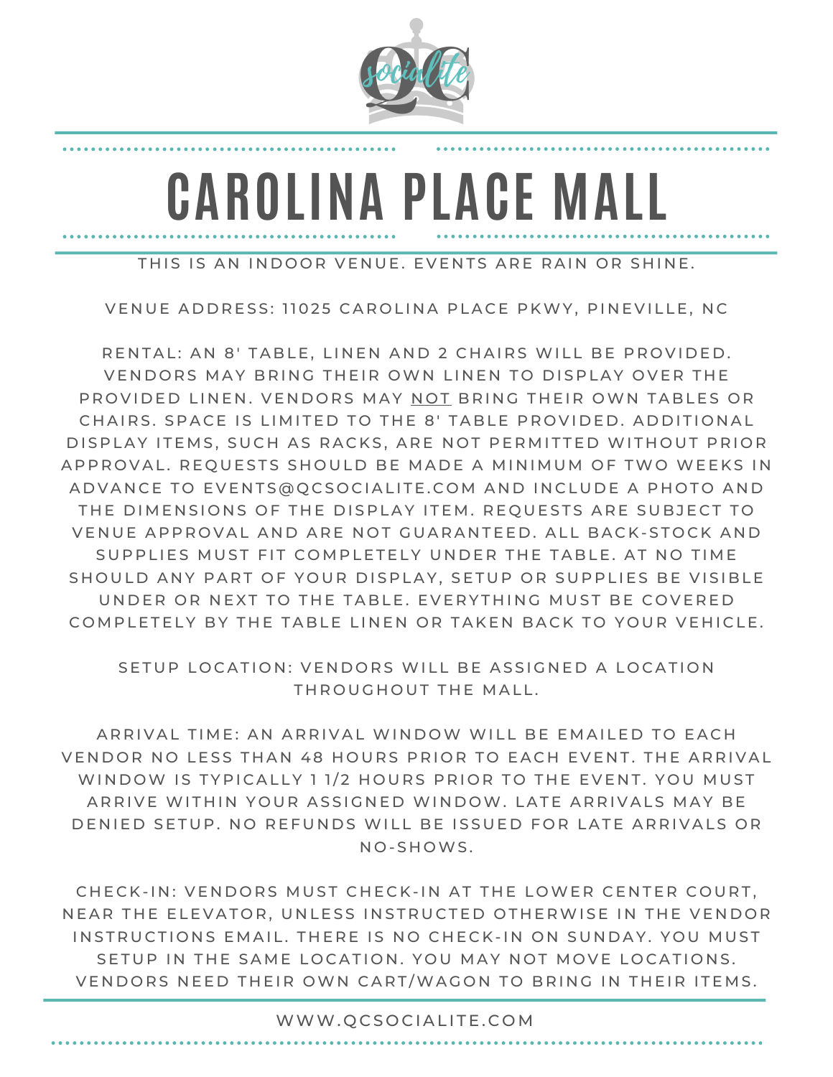

# **CAROLINA PLACE MALL**

THIS IS AN INDOOR VENUE. EVENTS ARE RAIN OR SHINE.

VENUE ADDRESS: 11025 CAROLINA PLACE PKWY, PINEVILLE, NC

RENTAL: AN 8' TABLE, LINEN AND 2 CHAIRS WILL BE PROVIDED. VENDORS MAY BRING THEIR OWN LINEN TO DISPLAY OVER THE PROVIDED LINEN. VENDORS MAY NOT BRING THEIR OWN TABLES OR CHAIRS. SPACE IS LIMITED TO THE 8' TABLE PROVIDED. ADDITIONAL DISPLAY ITEMS, SUCH AS RACKS, ARE NOT PERMITTED WITHOUT PRIOR A P PROVAL. REQUESTS SHOULD BE MADE A MINIMUM OF TWO WEEKS IN A D V A N C E TO EVENTS @ Q C SO CIALITE. COM AND INCLUDE A PHOTO AND THE DIMENSIONS OF THE DISPLAY ITEM. REQUESTS ARE SUBJECT TO VENUE APPROVAL AND ARE NOT GUARANTEED. ALL BACK-STOCK AND SUPPLIES MUST FIT COMPLETELY UNDER THE TABLE. AT NO TIME SHOULD ANY PART OF YOUR DISPLAY, SETUP OR SUPPLIES BE VISIBLE UNDER OR NEXT TO THE TABLE. EVERYTHING MUST BE COVERED COMPLETELY BY THE TABLE LINEN OR TAKEN BACK TO YOUR VEHICLE.

SETUP LOCATION: VENDORS WILL BE ASSIGNED A LOCATION THROUGHOUT THE MALL.

ARRIVAL TIME: AN ARRIVAL WINDOW WILL BE EMAILED TO EACH VENDOR NO LESS THAN 48 HOURS PRIOR TO EACH EVENT. THE ARRIVAL WINDOW IS TYPICALLY 1 1/2 HOURS PRIOR TO THE EVENT. YOU MUST ARRIVE WITHIN YOUR ASSIGNED WINDOW. LATE ARRIVALS MAY BE DENIED SETUP. NO REFUNDS WILL BE ISSUED FOR LATE ARRIVALS OR N O - S H OWS .

CHECK-IN: VENDORS MUST CHECK-IN AT THE LOWER CENTER COURT, NEAR THE ELEVATOR, UNLESS INSTRUCTED OTHERWISE IN THE VENDOR INSTRUCTIONS EMAIL. THERE IS NO CHECK-IN ON SUNDAY. YOU MUST SETUP IN THE SAME LOCATION. YOU MAY NOT MOVE LOCATIONS. VENDORS NEED THEIR OWN CART/WAGON TO BRING IN THEIR ITEMS.

WWW. QCSOCIALITE. COM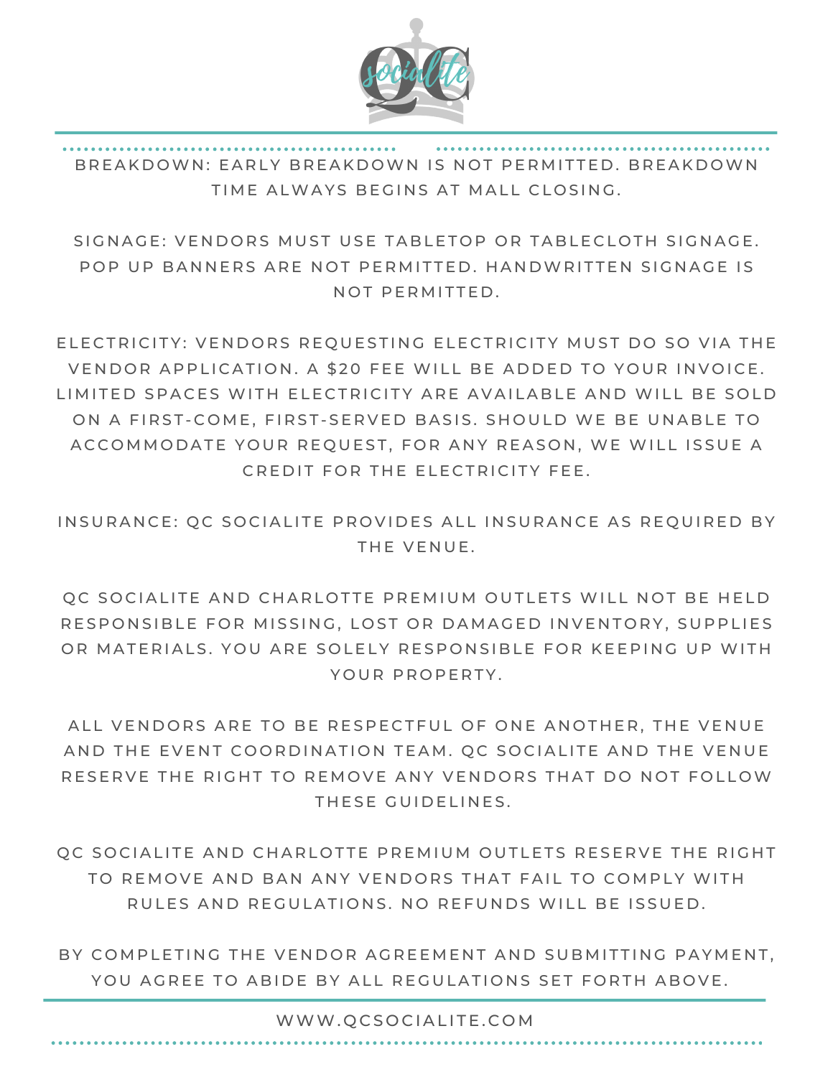

BREAKDOWN: EARLY BREAKDOWN IS NOT PERMITTED. BREAKDOWN TIME ALWAYS BEGINS AT MALL CLOSING.

SIGNAGE: VENDORS MUST USE TABLETOP OR TABLECLOTH SIGNAGE. POP UP BANNERS ARE NOT PERMITTED. HANDWRITTEN SIGNAGE IS NOT PERMITTED.

ELECTRICITY: VENDORS REQUESTING ELECTRICITY MUST DO SO VIA THE VENDOR APPLICATION. A \$20 FEE WILL BE ADDED TO YOUR INVOICE. LIMITED SPACES WITH ELECTRICITY ARE AVAILABLE AND WILL BE SOLD ON A FIRST-COME, FIRST-SERVED BASIS, SHOULD WE BE UNABLE TO ACCOMMODATE YOUR REQUEST, FOR ANY REASON, WE WILL ISSUE A CREDIT FOR THE FLECTRICITY FFE.

INSURANCE: QC SOCIALITE PROVIDES ALL INSURANCE AS REQUIRED BY THE VENUE.

OC SOCIALITE AND CHARLOTTE PREMIUM OUTLETS WILL NOT BE HELD RESPONSIBLE FOR MISSING, LOST OR DAMAGED INVENTORY, SUPPLIES OR MATERIALS. YOU ARE SOLELY RESPONSIBLE FOR KEEPING UP WITH YOUR PROPERTY.

ALL VENDORS ARE TO BE RESPECTFUL OF ONE ANOTHER, THE VENUE AND THE EVENT COORDINATION TEAM. QC SOCIALITE AND THE VENUE RESERVE THE RIGHT TO REMOVE ANY VENDORS THAT DO NOT FOLLOW THESE GUIDELINES.

OC SOCIALITE AND CHARLOTTE PREMIUM OUTLETS RESERVE THE RIGHT TO REMOVE AND BAN ANY VENDORS THAT FAIL TO COMPLY WITH RULES AND REGULATIONS. NO REFUNDS WILL BE ISSUED.

BY COMPLETING THE VENDOR AGREEMENT AND SUBMITTING PAYMENT, YOU AGREE TO ABIDE BY ALL REGULATIONS SET FORTH ABOVE.

WWW.QCSOCIALITE.COM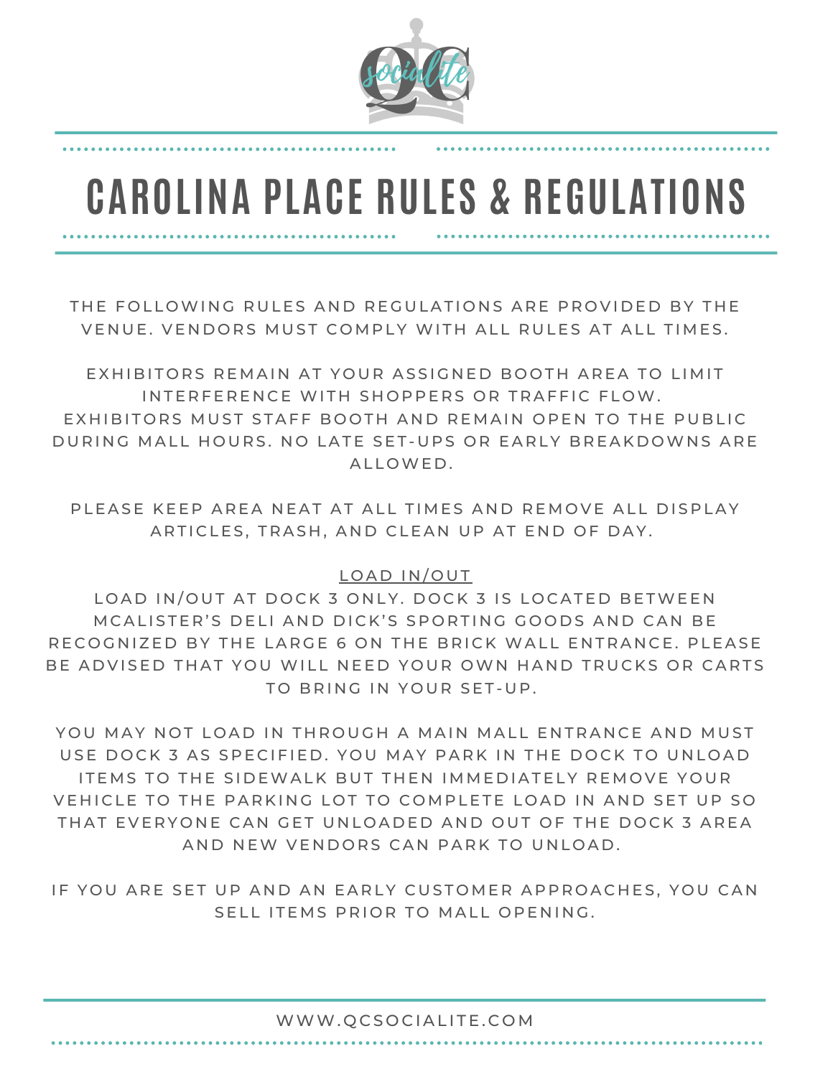

# **CAROLINA PLACE RULES & REGULATIONS**

THE FOLLOWING RULES AND REGULATIONS ARE PROVIDED BY THE VENUE. VENDORS MUST COMPLY WITH ALL RULES AT ALL TIMES.

EXHIBITORS REMAIN AT YOUR ASSIGNED BOOTH AREA TO LIMIT INTERFERENCE WITH SHOPPERS OR TRAFFIC FLOW. EXHIBITORS MUST STAFF BOOTH AND REMAIN OPEN TO THE PUBLIC DURING MALL HOURS. NO LATE SET-UPS OR EARLY BREAKDOWNS ARE ALLOWED.

PLEASE KEEP AREA NEAT AT ALL TIMES AND REMOVE ALL DISPLAY ARTICLES, TRASH, AND CLEAN UP AT END OF DAY.

## LOAD IN/OUT

LOAD IN/OUT AT DOCK 3 ONLY. DOCK 3 IS LOCATED BETWEEN M CALISTER'S DELLAND DICK'S SPORTING GOODS AND CAN BE RECOGNIZED BY THE LARGE 6 ON THE BRICK WALL ENTRANCE. PLEASE BE ADVISED THAT YOU WILL NEED YOUR OWN HAND TRUCKS OR CARTS TO BRING IN YOUR SET-UP.

YOU MAY NOT LOAD IN THROUGH A MAIN MALL ENTRANCE AND MUST USE DOCK 3 AS SPECIFIED. YOU MAY PARK IN THE DOCK TO UNLOAD ITEMS TO THE SIDEWALK BUT THEN IMMEDIATELY REMOVE YOUR VEHICLE TO THE PARKING LOT TO COMPLETE LOAD IN AND SET UP SO THAT EVERYONE CAN GET UNLOADED AND OUT OF THE DOCK 3 AREA AND NEW VENDORS CAN PARK TO UNLOAD.

IF YOU ARE SET UP AND AN EARLY CUSTOMER APPROACHES, YOU CAN SELL ITEMS PRIOR TO MALL OPENING.

#### WWW.QCSOCIALITE.COM